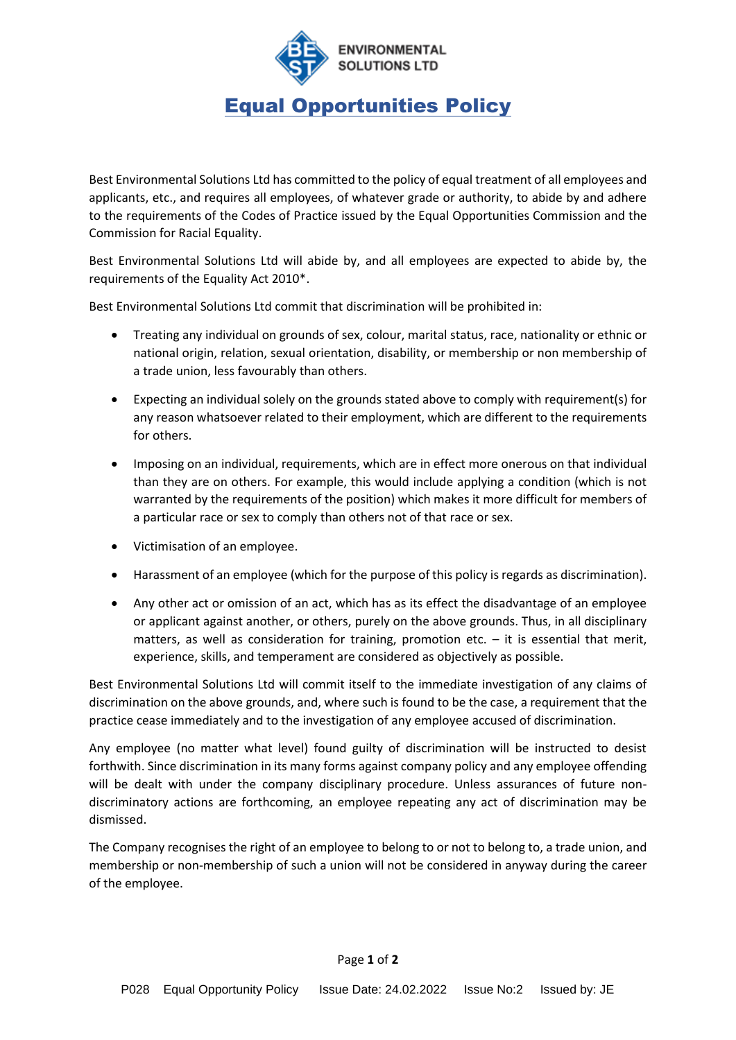

## Equal Opportunities Policy

Best Environmental Solutions Ltd has committed to the policy of equal treatment of all employees and applicants, etc., and requires all employees, of whatever grade or authority, to abide by and adhere to the requirements of the Codes of Practice issued by the Equal Opportunities Commission and the Commission for Racial Equality.

Best Environmental Solutions Ltd will abide by, and all employees are expected to abide by, the requirements of the Equality Act 2010\*.

Best Environmental Solutions Ltd commit that discrimination will be prohibited in:

- Treating any individual on grounds of sex, colour, marital status, race, nationality or ethnic or national origin, relation, sexual orientation, disability, or membership or non membership of a trade union, less favourably than others.
- Expecting an individual solely on the grounds stated above to comply with requirement(s) for any reason whatsoever related to their employment, which are different to the requirements for others.
- Imposing on an individual, requirements, which are in effect more onerous on that individual than they are on others. For example, this would include applying a condition (which is not warranted by the requirements of the position) which makes it more difficult for members of a particular race or sex to comply than others not of that race or sex.
- Victimisation of an employee.
- Harassment of an employee (which for the purpose of this policy is regards as discrimination).
- Any other act or omission of an act, which has as its effect the disadvantage of an employee or applicant against another, or others, purely on the above grounds. Thus, in all disciplinary matters, as well as consideration for training, promotion etc.  $-$  it is essential that merit, experience, skills, and temperament are considered as objectively as possible.

Best Environmental Solutions Ltd will commit itself to the immediate investigation of any claims of discrimination on the above grounds, and, where such is found to be the case, a requirement that the practice cease immediately and to the investigation of any employee accused of discrimination.

Any employee (no matter what level) found guilty of discrimination will be instructed to desist forthwith. Since discrimination in its many forms against company policy and any employee offending will be dealt with under the company disciplinary procedure. Unless assurances of future nondiscriminatory actions are forthcoming, an employee repeating any act of discrimination may be dismissed.

The Company recognises the right of an employee to belong to or not to belong to, a trade union, and membership or non-membership of such a union will not be considered in anyway during the career of the employee.